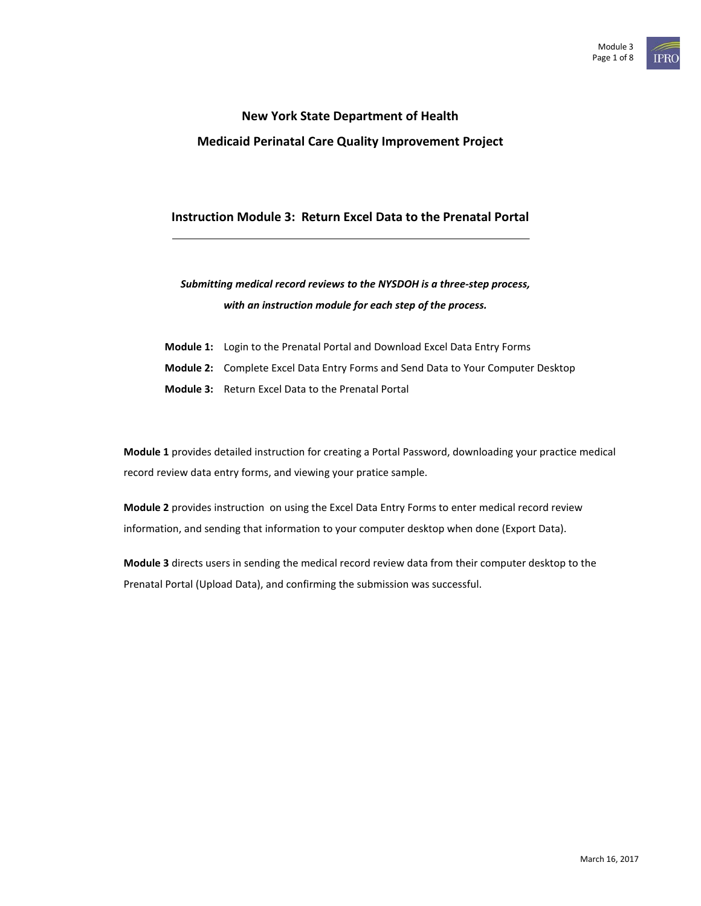# **New York State Department of Health Medicaid Perinatal Care Quality Improvement Project**

# **Instruction Module 3: Return Excel Data to the Prenatal Portal**

# *Submitting medical record reviews to the NYSDOH is a three-step process, with an instruction module for each step of the process.*

- **Module 1:** Login to the Prenatal Portal and Download Excel Data Entry Forms
- **Module 2:** Complete Excel Data Entry Forms and Send Data to Your Computer Desktop
- **Module 3:** Return Excel Data to the Prenatal Portal

**Module 1** provides detailed instruction for creating a Portal Password, downloading your practice medical record review data entry forms, and viewing your pratice sample.

**Module 2** provides instruction on using the Excel Data Entry Forms to enter medical record review information, and sending that information to your computer desktop when done (Export Data).

**Module 3** directs users in sending the medical record review data from their computer desktop to the Prenatal Portal (Upload Data), and confirming the submission was successful.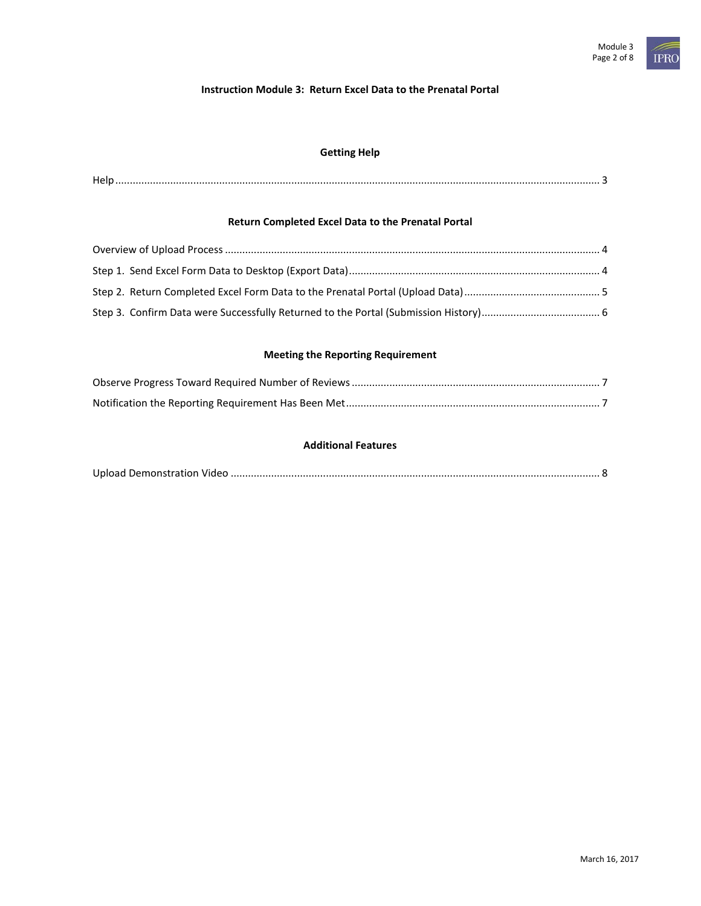# **Instruction Module 3: Return Excel Data to the Prenatal Portal**

# **Getting Help**

| <b>A</b> 1 = |
|--------------|
|--------------|

# **Return Completed Excel Data to the Prenatal Portal**

# **Meeting the Reporting Requirement**

#### **Additional Features**

|--|--|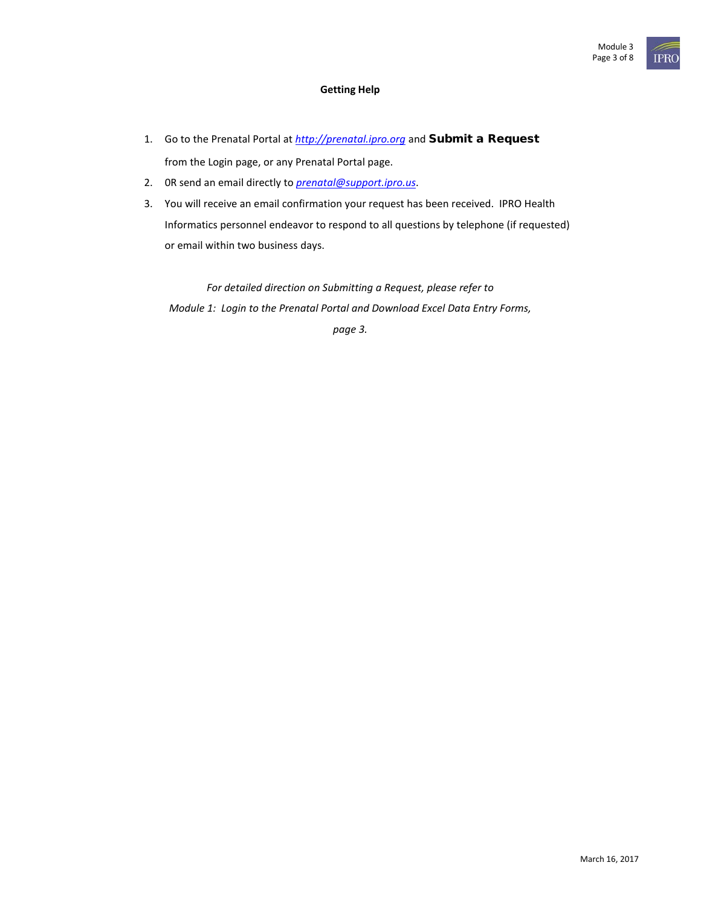# **Getting Help**

- 1. Go to the Prenatal Portal at *[http://prenatal.ipro.org](http://prenatal.ipro.org/)* and Submit a Request from the Login page, or any Prenatal Portal page.
- 2. 0R send an email directly to *[prenatal@support.ipro.us](mailto:prenatal@support.ipro.us)*.
- 3. You will receive an email confirmation your request has been received. IPRO Health Informatics personnel endeavor to respond to all questions by telephone (if requested) or email within two business days.

*For detailed direction on Submitting a Request, please refer to Module 1: Login to the Prenatal Portal and Download Excel Data Entry Forms, page 3.*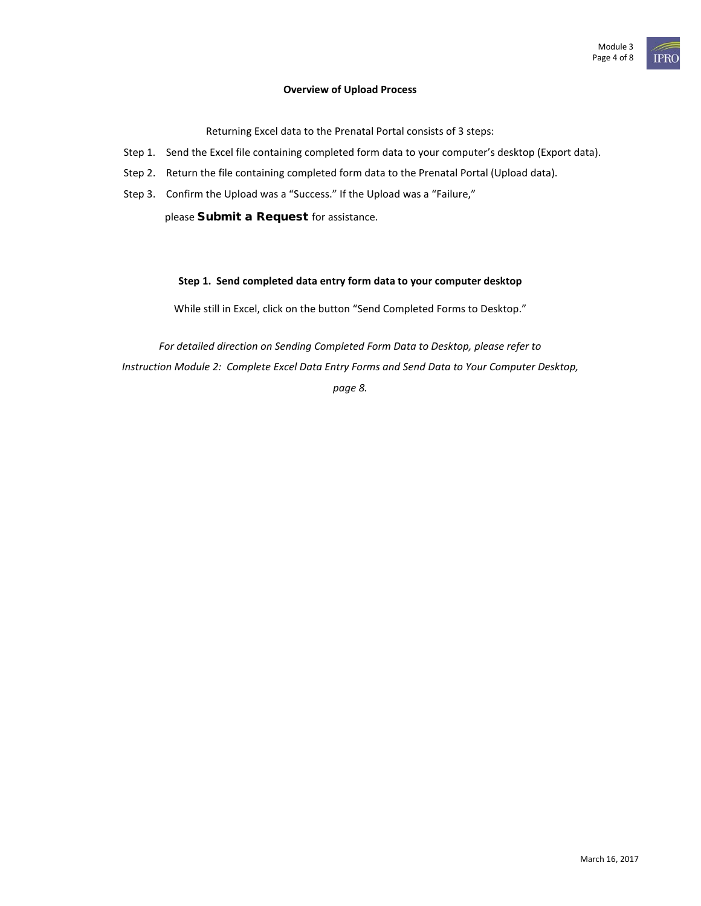#### **Overview of Upload Process**

Returning Excel data to the Prenatal Portal consists of 3 steps:

- Step 1. Send the Excel file containing completed form data to your computer's desktop (Export data).
- Step 2. Return the file containing completed form data to the Prenatal Portal (Upload data).
- Step 3. Confirm the Upload was a "Success." If the Upload was a "Failure,"

please Submit a Request for assistance.

#### **Step 1. Send completed data entry form data to your computer desktop**

While still in Excel, click on the button "Send Completed Forms to Desktop."

*For detailed direction on Sending Completed Form Data to Desktop, please refer to Instruction Module 2: Complete Excel Data Entry Forms and Send Data to Your Computer Desktop, page 8.*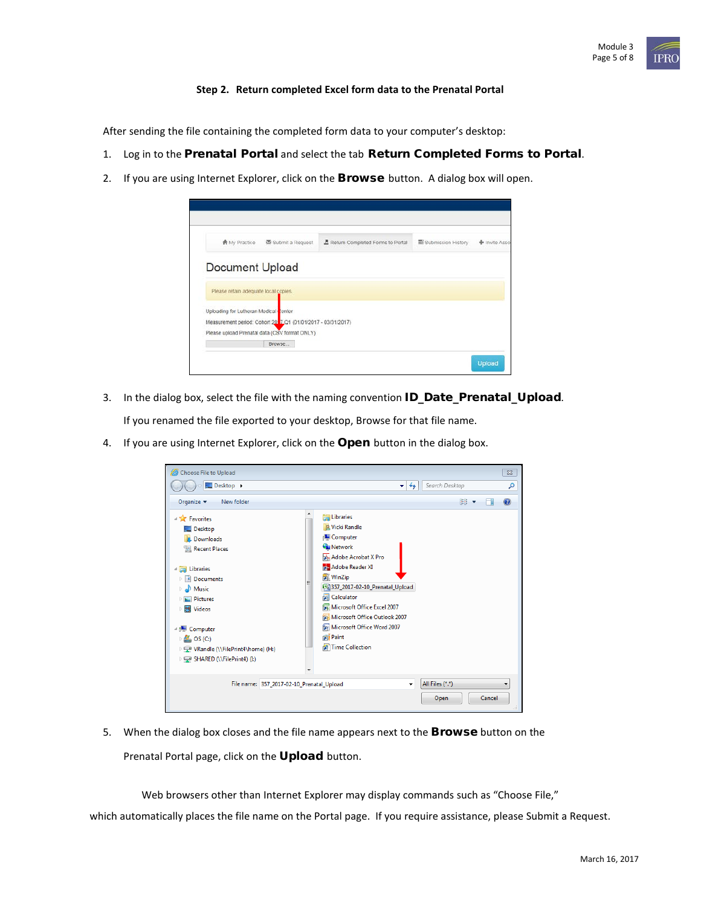### **Step 2. Return completed Excel form data to the Prenatal Portal**

After sending the file containing the completed form data to your computer's desktop:

- 1. Log in to the Prenatal Portal and select the tab Return Completed Forms to Portal.
- 2. If you are using Internet Explorer, click on the **Browse** button. A dialog box will open.



- 3. In the dialog box, select the file with the naming convention **ID\_Date\_Prenatal\_Upload**. If you renamed the file exported to your desktop, Browse for that file name.
- 4. If you are using Internet Explorer, click on the Open button in the dialog box.

| Choose File to Upload                                                                                                                                                                                                                                                                              |                                                                                                                                                                                                                                                                                                                                   | $\Sigma\!$    |
|----------------------------------------------------------------------------------------------------------------------------------------------------------------------------------------------------------------------------------------------------------------------------------------------------|-----------------------------------------------------------------------------------------------------------------------------------------------------------------------------------------------------------------------------------------------------------------------------------------------------------------------------------|---------------|
| Desktop >                                                                                                                                                                                                                                                                                          | Search Desktop<br>↮<br>$\blacktriangledown$                                                                                                                                                                                                                                                                                       | م             |
| Organize $\blacktriangledown$<br>New folder                                                                                                                                                                                                                                                        | 腓<br>$\blacktriangledown$                                                                                                                                                                                                                                                                                                         | $\mathbf Q$   |
| <b>Exercise</b><br>Desktop<br>Downloads<br><b>Recent Places</b><br><b>Explorance</b><br>Documents<br>Ξ<br>$\triangleright$ Music<br>Pictures<br>><br>Videos<br>Ħ<br>Þ<br>4  ■ Computer<br>$\triangleright$ <b>E</b> , OS (C:)<br>▶ WRandle (\\FilePrint4\home) (H:)<br>▷ SHARED (\\FilePrint4) (L) | <b>Libraries</b><br><b>A Vicki Randle</b><br>Computer<br><b>Gu</b> Network<br>Adobe Acrobat X Pro<br>Adobe Reader XI<br><b>NinZip</b><br>8 357_2017-02-10_Prenatal_Upload<br><b>R</b> Calculator<br>Microsoft Office Excel 2007<br>Microsoft Office Outlook 2007<br>Microsoft Office Word 2007<br><b>Paint</b><br>Time Collection |               |
| File name: 357 2017-02-10 Prenatal Upload                                                                                                                                                                                                                                                          | All Files (*.*)<br>٠<br>Cancel<br>Open                                                                                                                                                                                                                                                                                            |               |
|                                                                                                                                                                                                                                                                                                    |                                                                                                                                                                                                                                                                                                                                   | $\frac{1}{2}$ |

5. When the dialog box closes and the file name appears next to the **Browse** button on the Prenatal Portal page, click on the Upload button.

Web browsers other than Internet Explorer may display commands such as "Choose File,"

which automatically places the file name on the Portal page. If you require assistance, please Submit a Request.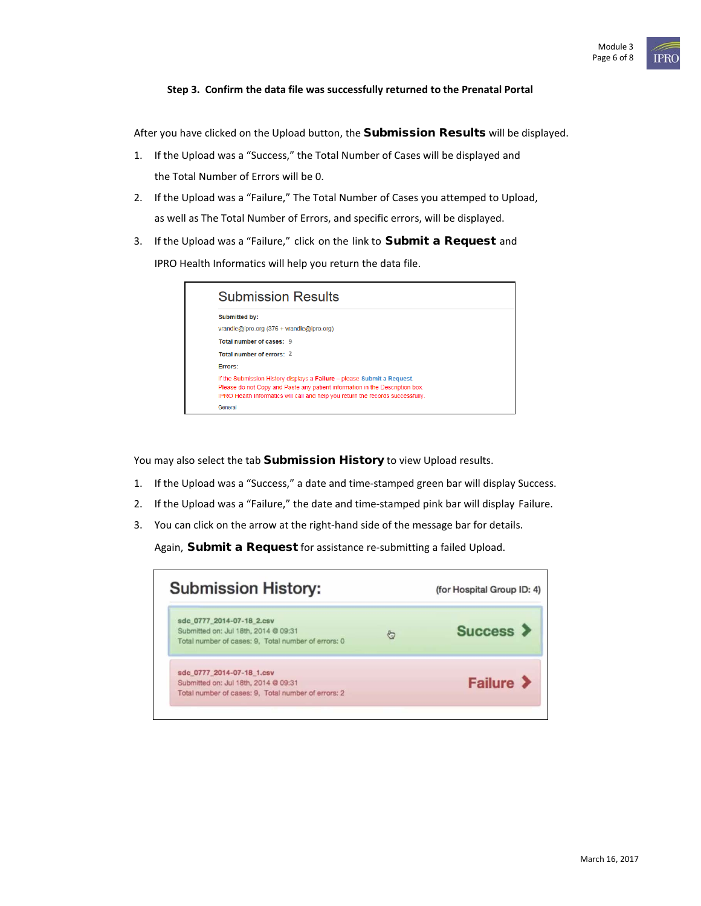## **Step 3. Confirm the data file was successfully returned to the Prenatal Portal**

After you have clicked on the Upload button, the Submission Results will be displayed.

- 1. If the Upload was a "Success," the Total Number of Cases will be displayed and the Total Number of Errors will be 0.
- 2. If the Upload was a "Failure," The Total Number of Cases you attemped to Upload, as well as The Total Number of Errors, and specific errors, will be displayed.
- 3. If the Upload was a "Failure," click on the link to **Submit a Request** and

IPRO Health Informatics will help you return the data file.

| <b>Submission Results</b>                                                                                                                                                                                                                  |
|--------------------------------------------------------------------------------------------------------------------------------------------------------------------------------------------------------------------------------------------|
| <b>Submitted by:</b>                                                                                                                                                                                                                       |
| vrandle@ipro.org $(376 + vrandle@ipro.org)$                                                                                                                                                                                                |
| Total number of cases: 9                                                                                                                                                                                                                   |
| Total number of errors: 2                                                                                                                                                                                                                  |
| Errors:                                                                                                                                                                                                                                    |
| If the Submission History displays a Failure - please Submit a Request.<br>Please do not Copy and Paste any patient information in the Description box.<br>IPRO Health Informatics will call and help you return the records successfully. |
| General                                                                                                                                                                                                                                    |

You may also select the tab Submission History to view Upload results.

- 1. If the Upload was a "Success," a date and time-stamped green bar will display Success.
- 2. If the Upload was a "Failure," the date and time-stamped pink bar will display Failure.
- 3. You can click on the arrow at the right-hand side of the message bar for details.

Again, Submit a Request for assistance re-submitting a failed Upload.

| <b>Submission History:</b>                                                                                               |     | (for Hospital Group ID: 4) |
|--------------------------------------------------------------------------------------------------------------------------|-----|----------------------------|
| sdc 0777 2014-07-18 2.csv<br>Submitted on: Jul 18th, 2014 @ 09:31<br>Total number of cases: 9, Total number of errors: 0 | දිස | Success >                  |
| sdc 0777 2014-07-18 1.csv<br>Submitted on: Jul 18th, 2014 @ 09:31<br>Total number of cases: 9, Total number of errors: 2 |     | Failure >                  |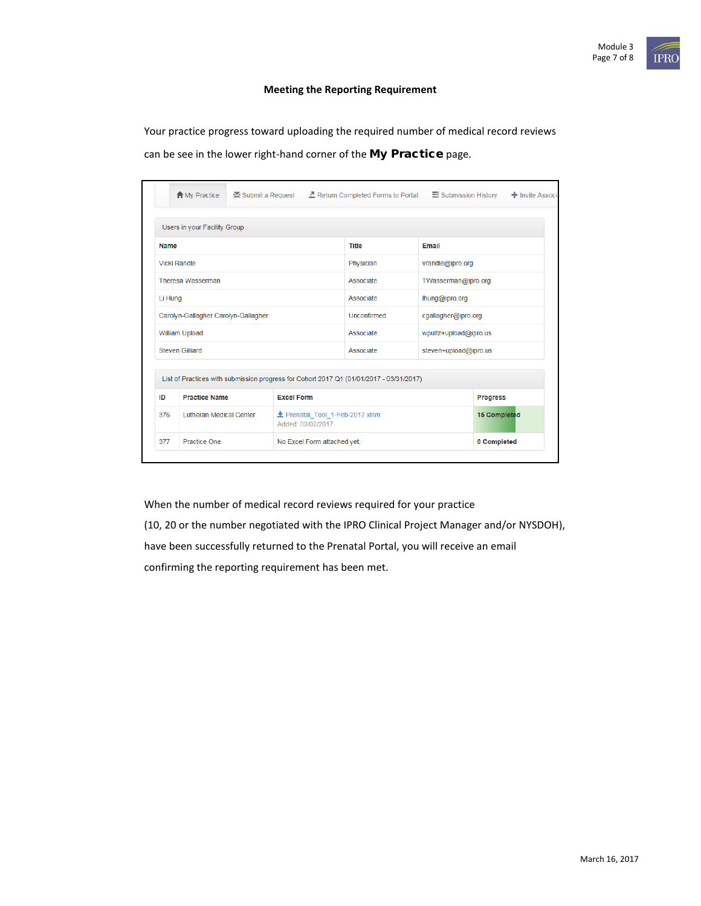### **Meeting the Reporting Requirement**

Your practice progress toward uploading the required number of medical record reviews can be see in the lower right-hand corner of the My Practice page.

|                                     | <b>A</b> My Practice           | <b>Example Submit a Request</b> Execution Completed Forms to Portal                     |                                                    | Submission History  | + Invite Associa      |  |
|-------------------------------------|--------------------------------|-----------------------------------------------------------------------------------------|----------------------------------------------------|---------------------|-----------------------|--|
|                                     | Users in your Facility Group   |                                                                                         |                                                    |                     |                       |  |
| <b>Name</b>                         |                                | <b>Title</b>                                                                            | Email                                              |                     |                       |  |
| <b>Vicki Randle</b>                 |                                |                                                                                         | Physician                                          |                     | vrandle@ipro.org      |  |
| <b>Theresa Wasserman</b>            |                                |                                                                                         | Associate                                          |                     | TWasserman@ipro.org   |  |
| Li Hung                             |                                |                                                                                         | Associate                                          | lhung@ipro.org      |                       |  |
| Carolyn-Gallagher Carolyn-Gallagher |                                | Unconfirmed                                                                             |                                                    | cgallagher@ipro.org |                       |  |
| William Upload                      |                                |                                                                                         | Associate                                          |                     | wpultz+upload@ipro.us |  |
| <b>Steven Gilliard</b>              |                                |                                                                                         | Associate                                          |                     | steven+upload@ipro.us |  |
|                                     |                                | List of Practices with submission progress for Cohort 2017 Q1 (01/01/2017 - 03/31/2017) |                                                    |                     |                       |  |
| ID                                  | <b>Practice Name</b>           | <b>Excel Form</b>                                                                       |                                                    |                     |                       |  |
| 376                                 | <b>Lutheran Medical Center</b> |                                                                                         | Prenatal Tool 1-Feb-2017.xlsm<br>Added: 02/02/2017 |                     |                       |  |
| 377                                 | <b>Practice One</b>            |                                                                                         | No Excel Form attached yet.                        |                     | 0 Completed           |  |

When the number of medical record reviews required for your practice

(10, 20 or the number negotiated with the IPRO Clinical Project Manager and/or NYSDOH), have been successfully returned to the Prenatal Portal, you will receive an email confirming the reporting requirement has been met.